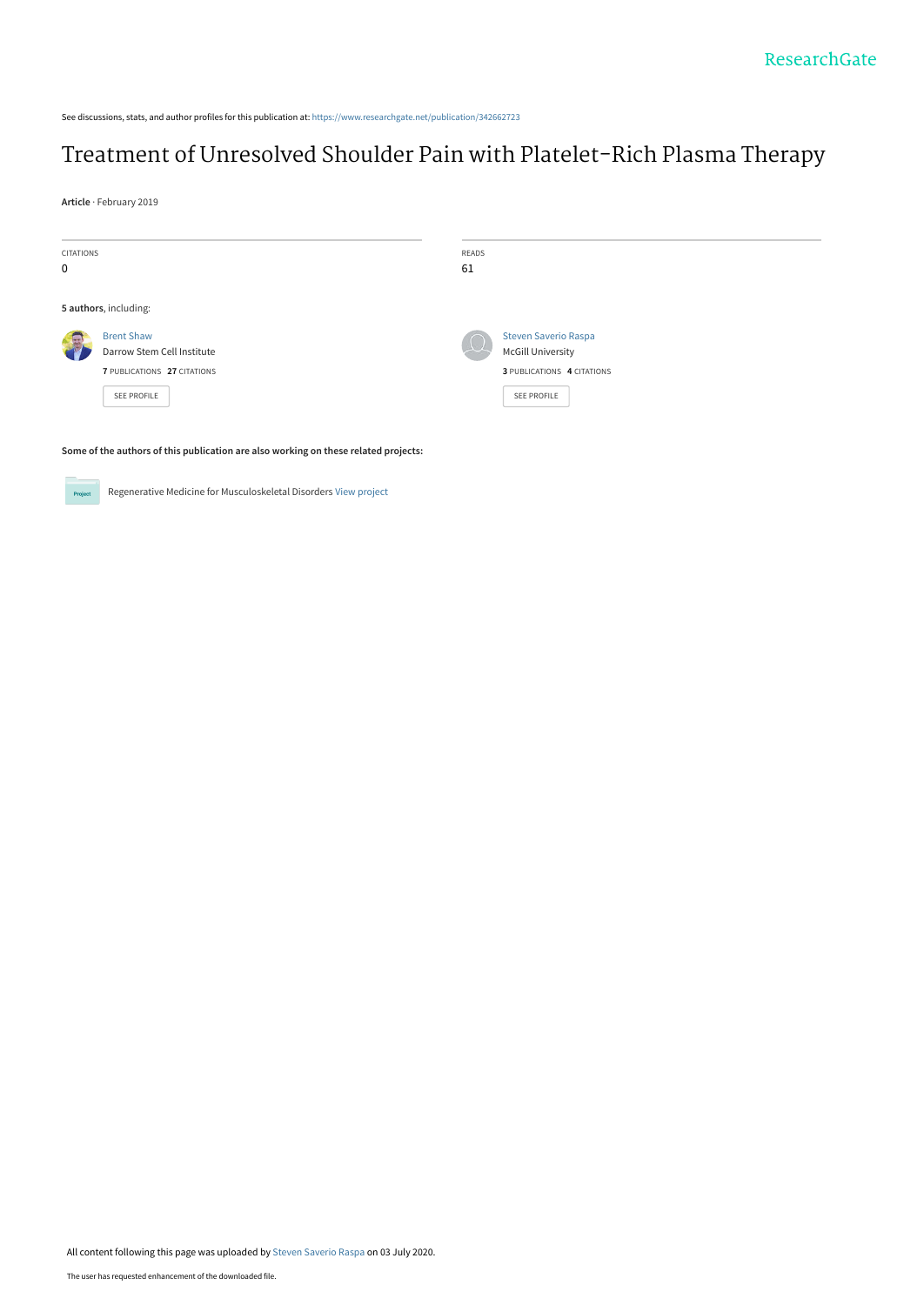See discussions, stats, and author profiles for this publication at: [https://www.researchgate.net/publication/342662723](https://www.researchgate.net/publication/342662723_Treatment_of_Unresolved_Shoulder_Pain_with_Platelet-Rich_Plasma_Therapy?enrichId=rgreq-67b43b2cfb87739e9460896c2a58eb42-XXX&enrichSource=Y292ZXJQYWdlOzM0MjY2MjcyMztBUzo5MDkyMDI0MDI4NTY5NjdAMTU5Mzc4MjE1Mzk4OQ%3D%3D&el=1_x_2&_esc=publicationCoverPdf)

# [Treatment of Unresolved Shoulder Pain with Platelet-Rich Plasma Therapy](https://www.researchgate.net/publication/342662723_Treatment_of_Unresolved_Shoulder_Pain_with_Platelet-Rich_Plasma_Therapy?enrichId=rgreq-67b43b2cfb87739e9460896c2a58eb42-XXX&enrichSource=Y292ZXJQYWdlOzM0MjY2MjcyMztBUzo5MDkyMDI0MDI4NTY5NjdAMTU5Mzc4MjE1Mzk4OQ%3D%3D&el=1_x_3&_esc=publicationCoverPdf)

**Article** · February 2019

| CITATIONS<br>$\mathbf 0$ |                                                                                               | READS<br>61 |                                                                                                      |  |  |
|--------------------------|-----------------------------------------------------------------------------------------------|-------------|------------------------------------------------------------------------------------------------------|--|--|
|                          | 5 authors, including:                                                                         |             |                                                                                                      |  |  |
| <b>AG</b>                | <b>Brent Shaw</b><br>Darrow Stem Cell Institute<br>7 PUBLICATIONS 27 CITATIONS<br>SEE PROFILE |             | <b>Steven Saverio Raspa</b><br><b>McGill University</b><br>3 PUBLICATIONS 4 CITATIONS<br>SEE PROFILE |  |  |
|                          | Some of the authors of this publication are also working on these related projects.           |             |                                                                                                      |  |  |

**Some of the authors of this publication are also working on these related projects:**



Regenerative Medicine for Musculoskeletal Disorders [View project](https://www.researchgate.net/project/Regenerative-Medicine-for-Musculoskeletal-Disorders?enrichId=rgreq-67b43b2cfb87739e9460896c2a58eb42-XXX&enrichSource=Y292ZXJQYWdlOzM0MjY2MjcyMztBUzo5MDkyMDI0MDI4NTY5NjdAMTU5Mzc4MjE1Mzk4OQ%3D%3D&el=1_x_9&_esc=publicationCoverPdf)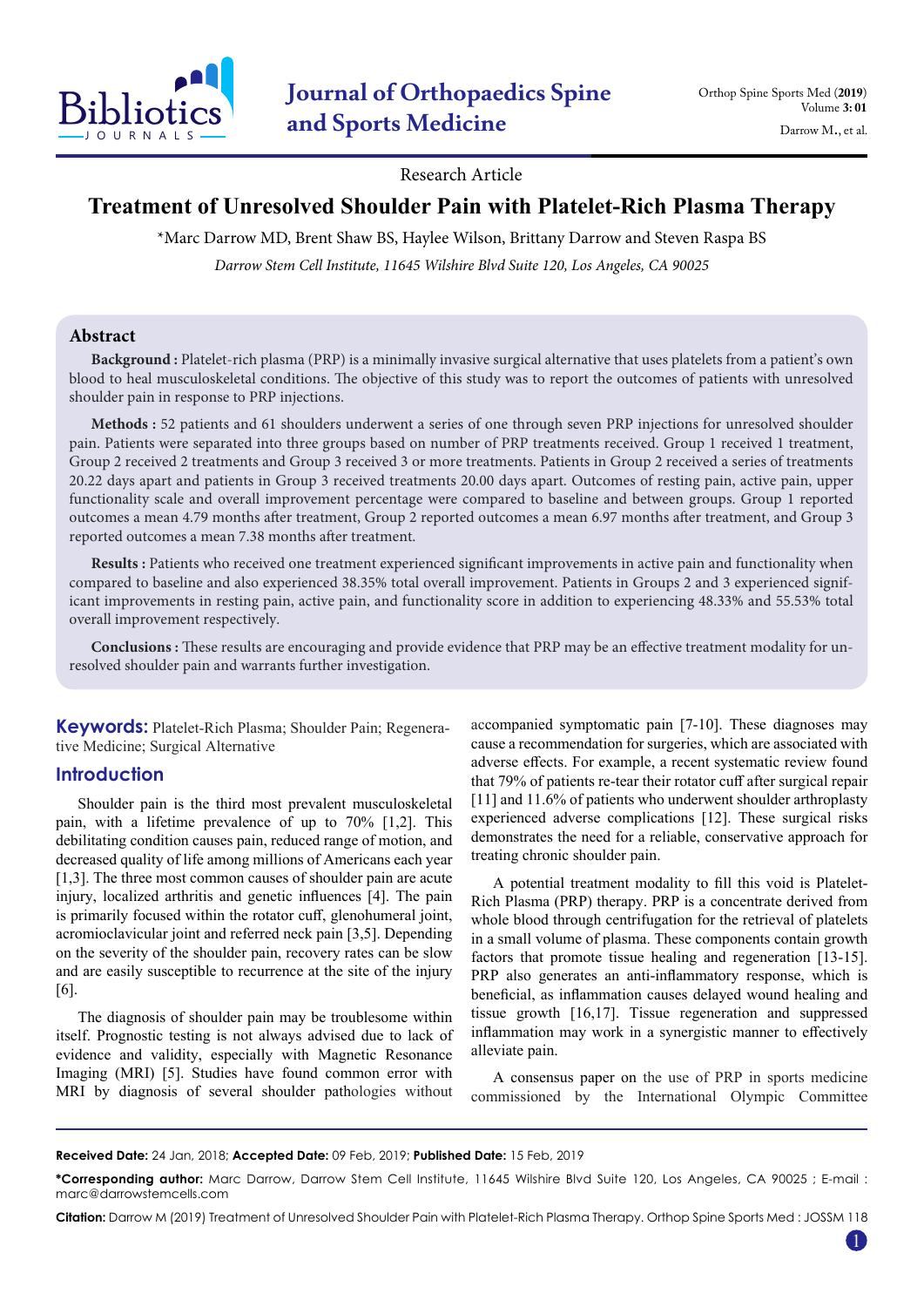

Research Article

# **Treatment of Unresolved Shoulder Pain with Platelet-Rich Plasma Therapy**

\*Marc Darrow MD, Brent Shaw BS, Haylee Wilson, Brittany Darrow and Steven Raspa BS

*Darrow Stem Cell Institute, 11645 Wilshire Blvd Suite 120, Los Angeles, CA 90025*

# **Abstract**

**Background :** Platelet-rich plasma (PRP) is a minimally invasive surgical alternative that uses platelets from a patient's own blood to heal musculoskeletal conditions. The objective of this study was to report the outcomes of patients with unresolved shoulder pain in response to PRP injections.

**Methods :** 52 patients and 61 shoulders underwent a series of one through seven PRP injections for unresolved shoulder pain. Patients were separated into three groups based on number of PRP treatments received. Group 1 received 1 treatment, Group 2 received 2 treatments and Group 3 received 3 or more treatments. Patients in Group 2 received a series of treatments 20.22 days apart and patients in Group 3 received treatments 20.00 days apart. Outcomes of resting pain, active pain, upper functionality scale and overall improvement percentage were compared to baseline and between groups. Group 1 reported outcomes a mean 4.79 months after treatment, Group 2 reported outcomes a mean 6.97 months after treatment, and Group 3 reported outcomes a mean 7.38 months after treatment.

**Results :** Patients who received one treatment experienced significant improvements in active pain and functionality when compared to baseline and also experienced 38.35% total overall improvement. Patients in Groups 2 and 3 experienced significant improvements in resting pain, active pain, and functionality score in addition to experiencing 48.33% and 55.53% total overall improvement respectively.

**Conclusions :** These results are encouraging and provide evidence that PRP may be an effective treatment modality for unresolved shoulder pain and warrants further investigation.

**Keywords:** Platelet-Rich Plasma; Shoulder Pain; Regenerative Medicine; Surgical Alternative

# **Introduction**

Shoulder pain is the third most prevalent musculoskeletal pain, with a lifetime prevalence of up to 70% [1,2]. This debilitating condition causes pain, reduced range of motion, and decreased quality of life among millions of Americans each year [1,3]. The three most common causes of shoulder pain are acute injury, localized arthritis and genetic influences [4]. The pain is primarily focused within the rotator cuff, glenohumeral joint, acromioclavicular joint and referred neck pain [3,5]. Depending on the severity of the shoulder pain, recovery rates can be slow and are easily susceptible to recurrence at the site of the injury [6].

The diagnosis of shoulder pain may be troublesome within itself. Prognostic testing is not always advised due to lack of evidence and validity, especially with Magnetic Resonance Imaging (MRI) [5]. Studies have found common error with MRI by diagnosis of several shoulder pathologies without accompanied symptomatic pain [7-10]. These diagnoses may cause a recommendation for surgeries, which are associated with adverse effects. For example, a recent systematic review found that 79% of patients re-tear their rotator cuff after surgical repair [11] and 11.6% of patients who underwent shoulder arthroplasty experienced adverse complications [12]. These surgical risks demonstrates the need for a reliable, conservative approach for treating chronic shoulder pain.

A potential treatment modality to fill this void is Platelet-Rich Plasma (PRP) therapy. PRP is a concentrate derived from whole blood through centrifugation for the retrieval of platelets in a small volume of plasma. These components contain growth factors that promote tissue healing and regeneration [13-15]. PRP also generates an anti-inflammatory response, which is beneficial, as inflammation causes delayed wound healing and tissue growth [16,17]. Tissue regeneration and suppressed inflammation may work in a synergistic manner to effectively alleviate pain.

A consensus paper on the use of PRP in sports medicine commissioned by the International Olympic Committee

**Received Date:** 24 Jan, 2018; **Accepted Date:** 09 Feb, 2019; **Published Date:** 15 Feb, 2019

**Citation:** Darrow M (2019) Treatment of Unresolved Shoulder Pain with Platelet-Rich Plasma Therapy. Orthop Spine Sports Med : JOSSM 118

1

**<sup>\*</sup>Corresponding author:** Marc Darrow, Darrow Stem Cell Institute, 11645 Wilshire Blvd Suite 120, Los Angeles, CA 90025 ; E-mail : marc@darrowstemcells.com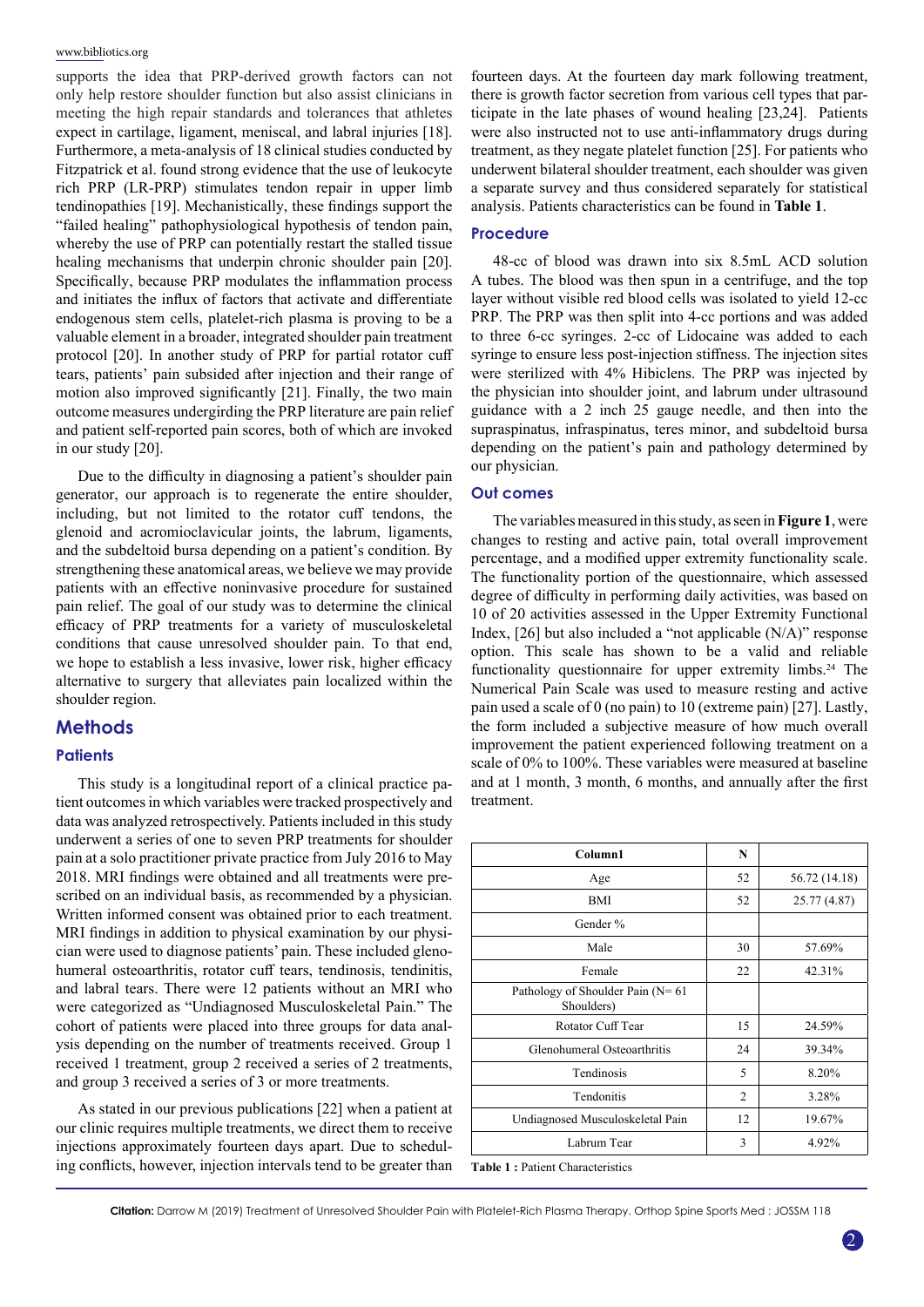supports the idea that PRP-derived growth factors can not only help restore shoulder function but also assist clinicians in meeting the high repair standards and tolerances that athletes expect in cartilage, ligament, meniscal, and labral injuries [18]. Furthermore, a meta-analysis of 18 clinical studies conducted by Fitzpatrick et al. found strong evidence that the use of leukocyte rich PRP (LR-PRP) stimulates tendon repair in upper limb tendinopathies [19]. Mechanistically, these findings support the "failed healing" pathophysiological hypothesis of tendon pain, whereby the use of PRP can potentially restart the stalled tissue healing mechanisms that underpin chronic shoulder pain [20]. Specifically, because PRP modulates the inflammation process and initiates the influx of factors that activate and differentiate endogenous stem cells, platelet-rich plasma is proving to be a valuable element in a broader, integrated shoulder pain treatment protocol [20]. In another study of PRP for partial rotator cuff tears, patients' pain subsided after injection and their range of motion also improved significantly [21]. Finally, the two main outcome measures undergirding the PRP literature are pain relief and patient self-reported pain scores, both of which are invoked in our study [20].

Due to the difficulty in diagnosing a patient's shoulder pain generator, our approach is to regenerate the entire shoulder, including, but not limited to the rotator cuff tendons, the glenoid and acromioclavicular joints, the labrum, ligaments, and the subdeltoid bursa depending on a patient's condition. By strengthening these anatomical areas, we believe we may provide patients with an effective noninvasive procedure for sustained pain relief. The goal of our study was to determine the clinical efficacy of PRP treatments for a variety of musculoskeletal conditions that cause unresolved shoulder pain. To that end, we hope to establish a less invasive, lower risk, higher efficacy alternative to surgery that alleviates pain localized within the shoulder region.

# **Methods**

## **Patients**

This study is a longitudinal report of a clinical practice patient outcomes in which variables were tracked prospectively and data was analyzed retrospectively. Patients included in this study underwent a series of one to seven PRP treatments for shoulder pain at a solo practitioner private practice from July 2016 to May 2018. MRI findings were obtained and all treatments were prescribed on an individual basis, as recommended by a physician. Written informed consent was obtained prior to each treatment. MRI findings in addition to physical examination by our physician were used to diagnose patients' pain. These included glenohumeral osteoarthritis, rotator cuff tears, tendinosis, tendinitis, and labral tears. There were 12 patients without an MRI who were categorized as "Undiagnosed Musculoskeletal Pain." The cohort of patients were placed into three groups for data analysis depending on the number of treatments received. Group 1 received 1 treatment, group 2 received a series of 2 treatments, and group 3 received a series of 3 or more treatments.

As stated in our previous publications [22] when a patient at our clinic requires multiple treatments, we direct them to receive injections approximately fourteen days apart. Due to scheduling conflicts, however, injection intervals tend to be greater than fourteen days. At the fourteen day mark following treatment, there is growth factor secretion from various cell types that participate in the late phases of wound healing [23,24]. Patients were also instructed not to use anti-inflammatory drugs during treatment, as they negate platelet function [25]. For patients who underwent bilateral shoulder treatment, each shoulder was given a separate survey and thus considered separately for statistical analysis. Patients characteristics can be found in **Table 1**.

# **Procedure**

48-cc of blood was drawn into six 8.5mL ACD solution A tubes. The blood was then spun in a centrifuge, and the top layer without visible red blood cells was isolated to yield 12-cc PRP. The PRP was then split into 4-cc portions and was added to three 6-cc syringes. 2-cc of Lidocaine was added to each syringe to ensure less post-injection stiffness. The injection sites were sterilized with 4% Hibiclens. The PRP was injected by the physician into shoulder joint, and labrum under ultrasound guidance with a 2 inch 25 gauge needle, and then into the supraspinatus, infraspinatus, teres minor, and subdeltoid bursa depending on the patient's pain and pathology determined by our physician.

#### **Out comes**

The variables measured in this study, as seen in **Figure 1**, were changes to resting and active pain, total overall improvement percentage, and a modified upper extremity functionality scale. The functionality portion of the questionnaire, which assessed degree of difficulty in performing daily activities, was based on 10 of 20 activities assessed in the Upper Extremity Functional Index, [26] but also included a "not applicable (N/A)" response option. This scale has shown to be a valid and reliable functionality questionnaire for upper extremity limbs.<sup>24</sup> The Numerical Pain Scale was used to measure resting and active pain used a scale of 0 (no pain) to 10 (extreme pain) [27]. Lastly, the form included a subjective measure of how much overall improvement the patient experienced following treatment on a scale of 0% to 100%. These variables were measured at baseline and at 1 month, 3 month, 6 months, and annually after the first treatment.

| Column1                                             | N              |               |
|-----------------------------------------------------|----------------|---------------|
| Age                                                 | 52             | 56.72 (14.18) |
| BMI                                                 | 52             | 25.77 (4.87)  |
| Gender %                                            |                |               |
| Male                                                | 30             | 57.69%        |
| Female                                              | 22             | 42.31%        |
| Pathology of Shoulder Pain ( $N = 61$<br>Shoulders) |                |               |
| Rotator Cuff Tear                                   | 15             | 24.59%        |
| Glenohumeral Osteoarthritis                         | 24             | 39.34%        |
| Tendinosis                                          | 5              | 8.20%         |
| Tendonitis                                          | $\overline{2}$ | 3.28%         |
| Undiagnosed Musculoskeletal Pain                    | 12             | 19.67%        |
| Labrum Tear                                         | 3              | 4.92%         |

**Table 1 :** Patient Characteristics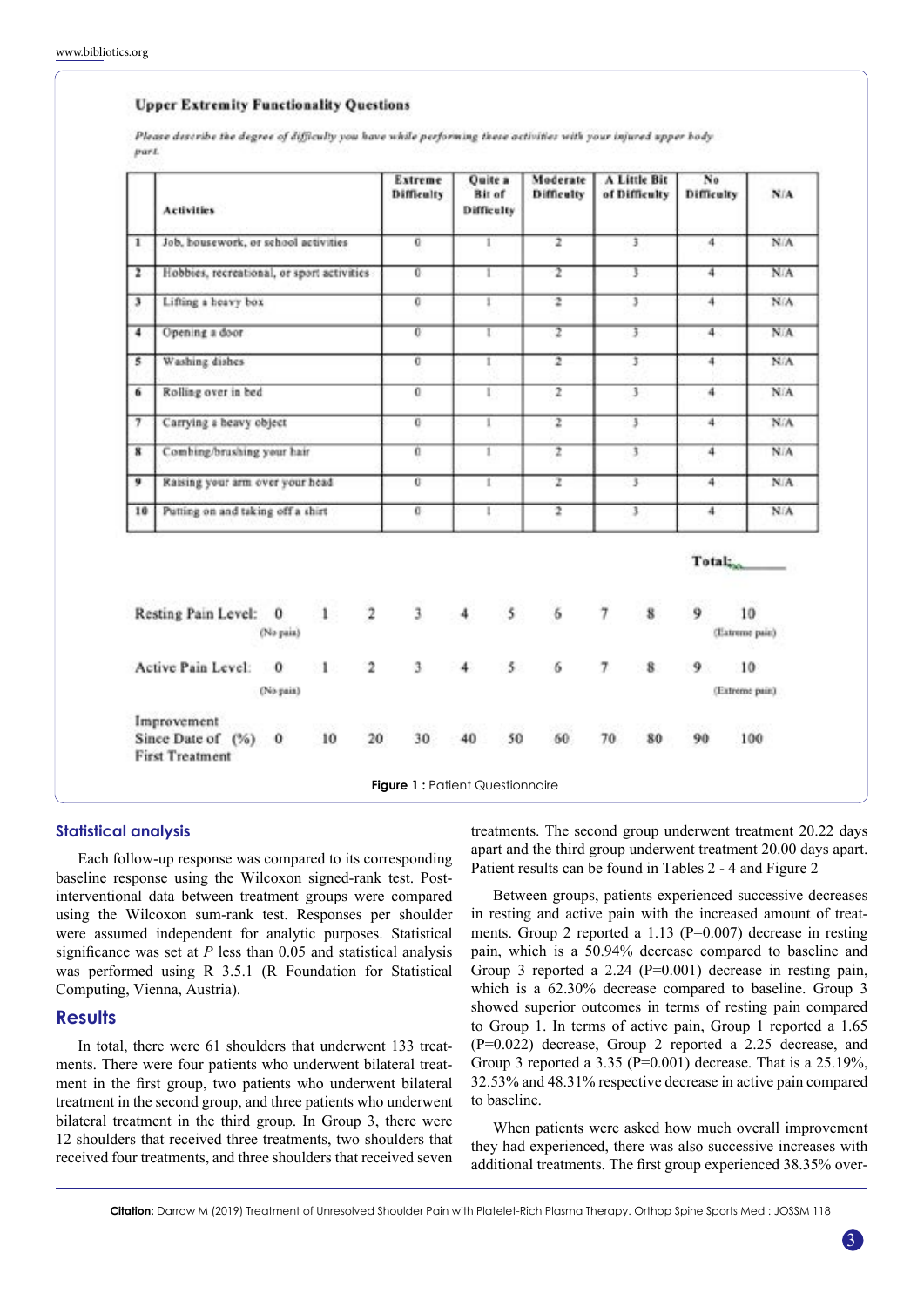### **Upper Extremity Functionality Questions**

Please describe the degree of difficulty you have while performing these activities with your injured upper body part.

|                | <b>Activities</b>                          |           |                                     | Extreme<br><b>Difficulty</b> | <b>Ouite</b> a<br>Bit of<br>Difficulty | Moderate<br>Difficulty  | A Little Bit<br>of Difficulty | No<br>Difficulty    | NIA             |
|----------------|--------------------------------------------|-----------|-------------------------------------|------------------------------|----------------------------------------|-------------------------|-------------------------------|---------------------|-----------------|
| T              | Job, housework, or school activities       |           |                                     | $\overline{0}$               | T                                      | $\overline{z}$          | $\overline{3}$                | 4                   | N/A             |
| Ŧ              | Hobbies, recreational, or sport activities |           |                                     | $\overline{0}$               | 1                                      | 2                       | Т                             | 4                   | N/A <sup></sup> |
| 3              | Lifting a heavy box                        |           |                                     | 0                            | 1                                      | $\overline{\mathbf{r}}$ | 3                             | 4                   | N/A             |
| 4              | Opening a door                             |           |                                     | $\overline{0}$               | ī.                                     | $\overline{z}$          | $\overline{3}$                | 4                   | N/A             |
| 5              | Washing dishes                             |           |                                     | $\overline{0}$               | 1                                      | 7                       | Ţ                             | $\overline{4}$      | N/A             |
| 6              | Rolling over in bed                        |           |                                     | $\mathbf{0}$                 | L                                      | $\overline{2}$          | $\overline{\mathbf{3}}$       | 4                   | NA              |
| 7              | Carrying a heavy object                    |           |                                     | $\overline{0}$               | ı                                      | $\overline{\mathbf{r}}$ | 3                             | 4                   | NA              |
| ×              | Combing/brushing your hair                 |           |                                     | 0                            | 1                                      | $\overline{z}$          | $\overline{\mathbf{1}}$       | 4                   | <b>NIA</b>      |
| $\overline{9}$ | Raising your arm over your head            |           |                                     | Ū.                           | t                                      | z                       | 3                             | $\overline{4}$      | NA.             |
| 10             | Putting on and taking off a shirt          |           |                                     | c                            | ı                                      | 2                       | 3.                            | 4                   | NIA             |
|                |                                            |           |                                     |                              |                                        |                         |                               |                     |                 |
|                |                                            |           |                                     |                              |                                        |                         |                               | Total <sub>in</sub> |                 |
|                | Resting Pain Level: 0                      | (No pain) | $\overline{\mathbf{2}}$<br>1        | $\overline{\mathbf{3}}$      | $\mathsf{s}$<br>4                      | $\ddot{\delta}$         | $\overline{\tau}$<br>8        | 9<br>(Extreme pair) | 10              |
|                | Active Pain Level: 0                       |           | $\overline{\mathbf{2}}$<br>$\geq 1$ | з.                           | 5.<br>4                                | 6                       | 7<br>8                        | 9.                  | 10              |
|                |                                            | (No pain) |                                     |                              |                                        |                         |                               | (Extreme pair.)     |                 |

#### **Statistical analysis**

Each follow-up response was compared to its corresponding baseline response using the Wilcoxon signed-rank test. Postinterventional data between treatment groups were compared using the Wilcoxon sum-rank test. Responses per shoulder were assumed independent for analytic purposes. Statistical significance was set at *P* less than 0.05 and statistical analysis was performed using R 3.5.1 (R Foundation for Statistical Computing, Vienna, Austria).

# **Results**

In total, there were 61 shoulders that underwent 133 treatments. There were four patients who underwent bilateral treatment in the first group, two patients who underwent bilateral treatment in the second group, and three patients who underwent bilateral treatment in the third group. In Group 3, there were 12 shoulders that received three treatments, two shoulders that received four treatments, and three shoulders that received seven

treatments. The second group underwent treatment 20.22 days apart and the third group underwent treatment 20.00 days apart. Patient results can be found in Tables 2 - 4 and Figure 2

Between groups, patients experienced successive decreases in resting and active pain with the increased amount of treatments. Group 2 reported a 1.13 (P=0.007) decrease in resting pain, which is a 50.94% decrease compared to baseline and Group 3 reported a 2.24 (P=0.001) decrease in resting pain, which is a 62.30% decrease compared to baseline. Group 3 showed superior outcomes in terms of resting pain compared to Group 1. In terms of active pain, Group 1 reported a 1.65 (P=0.022) decrease, Group 2 reported a 2.25 decrease, and Group 3 reported a 3.35 ( $P=0.001$ ) decrease. That is a 25.19%, 32.53% and 48.31% respective decrease in active pain compared to baseline.

When patients were asked how much overall improvement they had experienced, there was also successive increases with additional treatments. The first group experienced 38.35% over-

**Citation:** Darrow M (2019) Treatment of Unresolved Shoulder Pain with Platelet-Rich Plasma Therapy. Orthop Spine Sports Med : JOSSM 118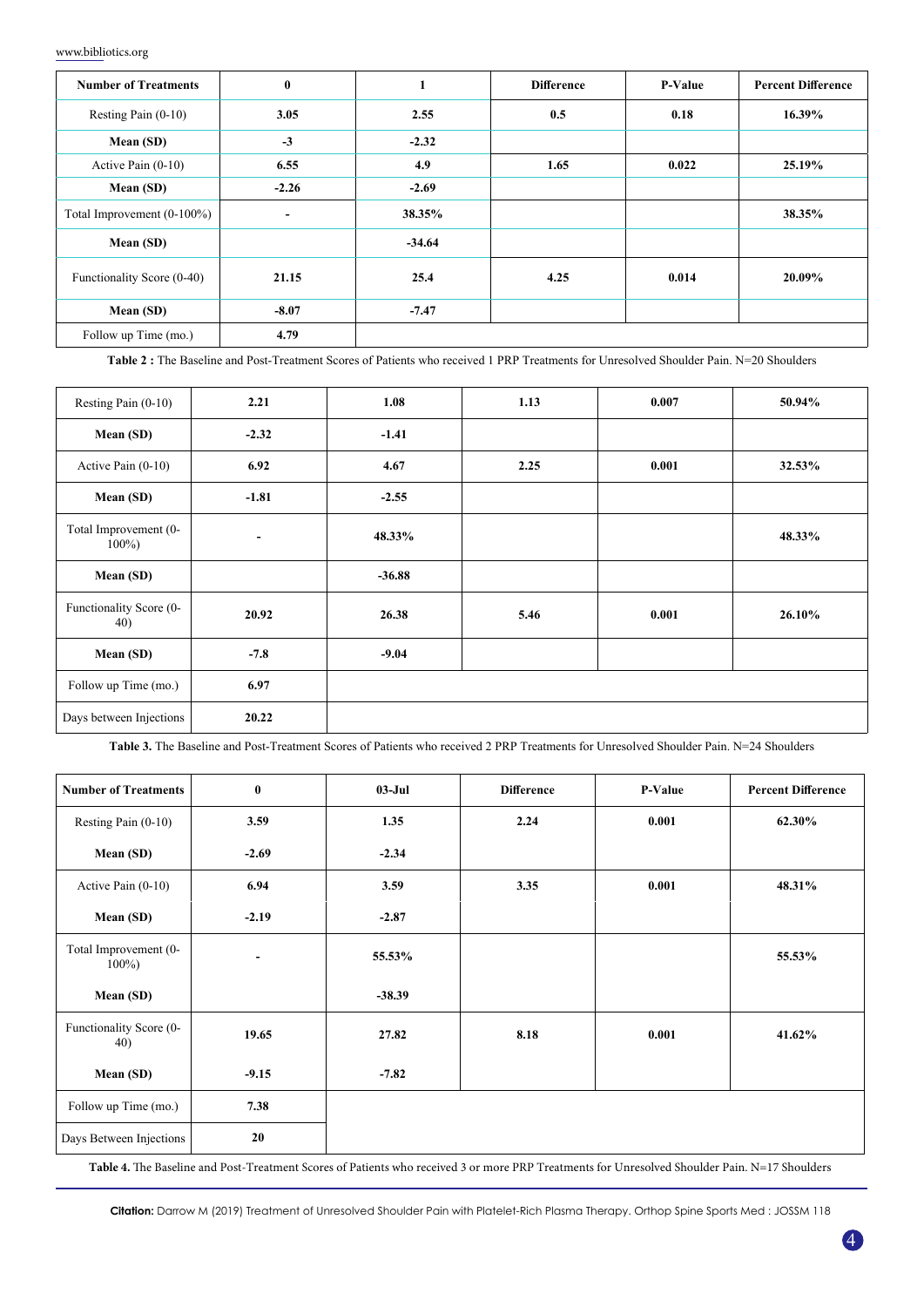| <b>Number of Treatments</b> | $\bf{0}$                 | 1        | <b>Difference</b> | <b>P-Value</b> | <b>Percent Difference</b> |
|-----------------------------|--------------------------|----------|-------------------|----------------|---------------------------|
| Resting Pain $(0-10)$       | 3.05                     | 2.55     | 0.5               | 0.18           | 16.39%                    |
| Mean (SD)                   | $-3$                     | $-2.32$  |                   |                |                           |
| Active Pain $(0-10)$        | 6.55                     | 4.9      | 1.65              | 0.022          | 25.19%                    |
| Mean (SD)                   | $-2.26$                  | $-2.69$  |                   |                |                           |
| Total Improvement (0-100%)  | $\overline{\phantom{a}}$ | 38.35%   |                   |                | 38.35%                    |
| Mean (SD)                   |                          | $-34.64$ |                   |                |                           |
| Functionality Score (0-40)  | 21.15                    | 25.4     | 4.25              | 0.014          | 20.09%                    |
| Mean (SD)                   | $-8.07$                  | $-7.47$  |                   |                |                           |
| Follow up Time (mo.)        | 4.79                     |          |                   |                |                           |

**Table 2 :** The Baseline and Post-Treatment Scores of Patients who received 1 PRP Treatments for Unresolved Shoulder Pain. N=20 Shoulders

| Resting Pain (0-10)                | 2.21                     | 1.08     | 1.13 | 0.007 | 50.94% |
|------------------------------------|--------------------------|----------|------|-------|--------|
| Mean (SD)                          | $-2.32$                  | $-1.41$  |      |       |        |
| Active Pain (0-10)                 | 6.92                     | 4.67     | 2.25 | 0.001 | 32.53% |
| Mean (SD)                          | $-1.81$                  | $-2.55$  |      |       |        |
| Total Improvement (0-<br>$100\%$ ) | $\overline{\phantom{a}}$ | 48.33%   |      |       | 48.33% |
| Mean (SD)                          |                          | $-36.88$ |      |       |        |
| Functionality Score (0-<br>40)     | 20.92                    | 26.38    | 5.46 | 0.001 | 26.10% |
| Mean (SD)                          | $-7.8$                   | $-9.04$  |      |       |        |
| Follow up Time (mo.)               | 6.97                     |          |      |       |        |
| Days between Injections            | 20.22                    |          |      |       |        |

**Table 3.** The Baseline and Post-Treatment Scores of Patients who received 2 PRP Treatments for Unresolved Shoulder Pain. N=24 Shoulders

| <b>Number of Treatments</b>        | $\bf{0}$ | $03-Jul$ | <b>Difference</b> | P-Value | <b>Percent Difference</b> |
|------------------------------------|----------|----------|-------------------|---------|---------------------------|
| Resting Pain (0-10)                | 3.59     | 1.35     | 2.24              | 0.001   | 62.30%                    |
| Mean (SD)                          | $-2.69$  | $-2.34$  |                   |         |                           |
| Active Pain (0-10)                 | 6.94     | 3.59     | 3.35              | 0.001   | 48.31%                    |
| Mean (SD)                          | $-2.19$  | $-2.87$  |                   |         |                           |
| Total Improvement (0-<br>$100\%$ ) | ٠        | 55.53%   |                   |         | 55.53%                    |
| Mean (SD)                          |          | $-38.39$ |                   |         |                           |
| Functionality Score (0-<br>40)     | 19.65    | 27.82    | 8.18              | 0.001   | 41.62%                    |
| Mean (SD)                          | $-9.15$  | $-7.82$  |                   |         |                           |
| Follow up Time (mo.)               | 7.38     |          |                   |         |                           |
| Days Between Injections            | 20       |          |                   |         |                           |

**Table 4.** The Baseline and Post-Treatment Scores of Patients who received 3 or more PRP Treatments for Unresolved Shoulder Pain. N=17 Shoulders

**Citation:** Darrow M (2019) Treatment of Unresolved Shoulder Pain with Platelet-Rich Plasma Therapy. Orthop Spine Sports Med : JOSSM 118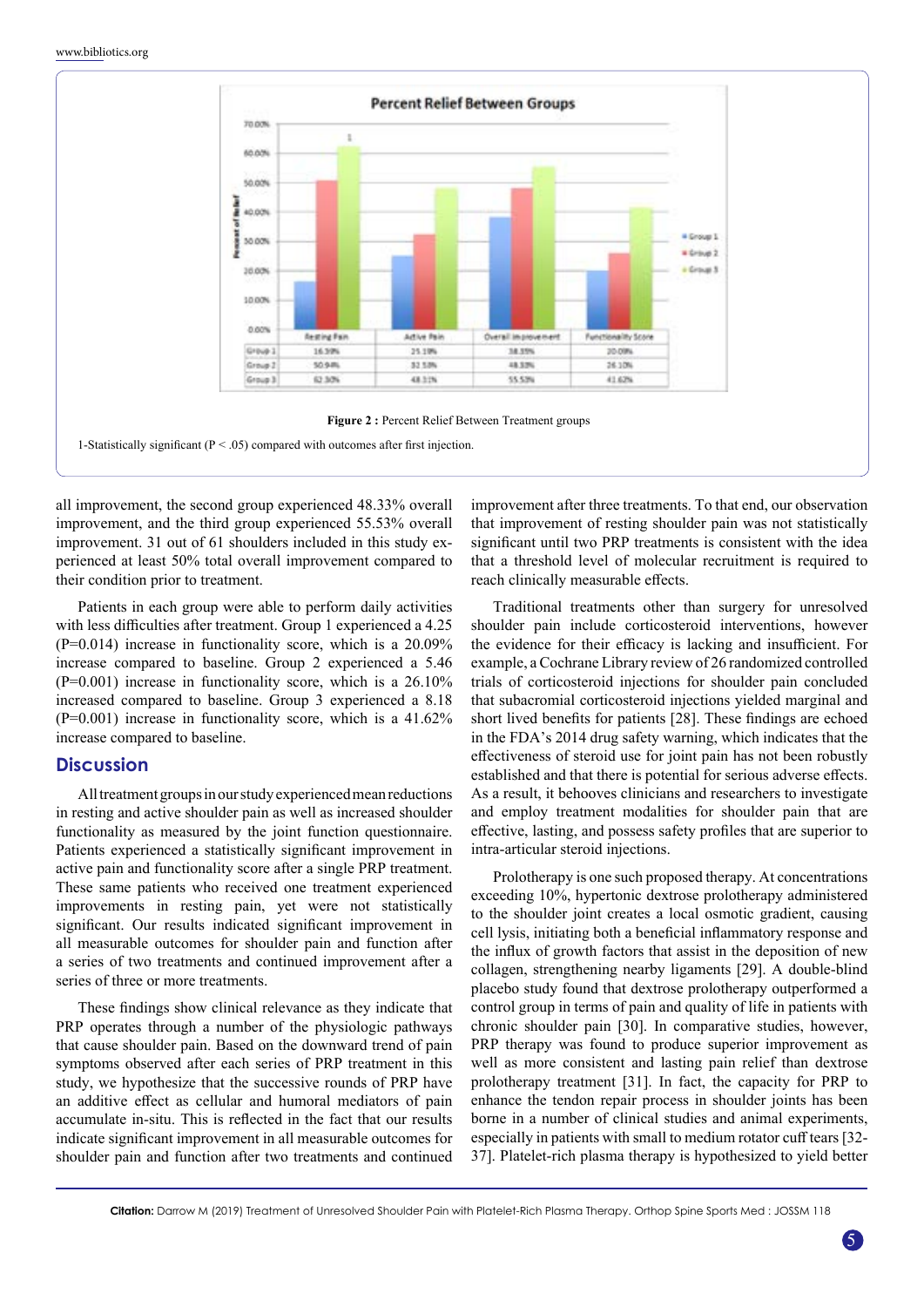

all improvement, the second group experienced 48.33% overall improvement, and the third group experienced 55.53% overall improvement. 31 out of 61 shoulders included in this study experienced at least 50% total overall improvement compared to their condition prior to treatment.

Patients in each group were able to perform daily activities with less difficulties after treatment. Group 1 experienced a 4.25  $(P=0.014)$  increase in functionality score, which is a 20.09% increase compared to baseline. Group 2 experienced a 5.46 (P=0.001) increase in functionality score, which is a 26.10% increased compared to baseline. Group 3 experienced a 8.18 (P=0.001) increase in functionality score, which is a 41.62% increase compared to baseline.

# **Discussion**

All treatment groups in our study experienced mean reductions in resting and active shoulder pain as well as increased shoulder functionality as measured by the joint function questionnaire. Patients experienced a statistically significant improvement in active pain and functionality score after a single PRP treatment. These same patients who received one treatment experienced improvements in resting pain, yet were not statistically significant. Our results indicated significant improvement in all measurable outcomes for shoulder pain and function after a series of two treatments and continued improvement after a series of three or more treatments.

These findings show clinical relevance as they indicate that PRP operates through a number of the physiologic pathways that cause shoulder pain. Based on the downward trend of pain symptoms observed after each series of PRP treatment in this study, we hypothesize that the successive rounds of PRP have an additive effect as cellular and humoral mediators of pain accumulate in-situ. This is reflected in the fact that our results indicate significant improvement in all measurable outcomes for shoulder pain and function after two treatments and continued improvement after three treatments. To that end, our observation that improvement of resting shoulder pain was not statistically significant until two PRP treatments is consistent with the idea that a threshold level of molecular recruitment is required to reach clinically measurable effects.

Traditional treatments other than surgery for unresolved shoulder pain include corticosteroid interventions, however the evidence for their efficacy is lacking and insufficient. For example, a Cochrane Library review of 26 randomized controlled trials of corticosteroid injections for shoulder pain concluded that subacromial corticosteroid injections yielded marginal and short lived benefits for patients [28]. These findings are echoed in the FDA's 2014 drug safety warning, which indicates that the effectiveness of steroid use for joint pain has not been robustly established and that there is potential for serious adverse effects. As a result, it behooves clinicians and researchers to investigate and employ treatment modalities for shoulder pain that are effective, lasting, and possess safety profiles that are superior to intra-articular steroid injections.

Prolotherapy is one such proposed therapy. At concentrations exceeding 10%, hypertonic dextrose prolotherapy administered to the shoulder joint creates a local osmotic gradient, causing cell lysis, initiating both a beneficial inflammatory response and the influx of growth factors that assist in the deposition of new collagen, strengthening nearby ligaments [29]. A double-blind placebo study found that dextrose prolotherapy outperformed a control group in terms of pain and quality of life in patients with chronic shoulder pain [30]. In comparative studies, however, PRP therapy was found to produce superior improvement as well as more consistent and lasting pain relief than dextrose prolotherapy treatment [31]. In fact, the capacity for PRP to enhance the tendon repair process in shoulder joints has been borne in a number of clinical studies and animal experiments, especially in patients with small to medium rotator cuff tears [32- 37]. Platelet-rich plasma therapy is hypothesized to yield better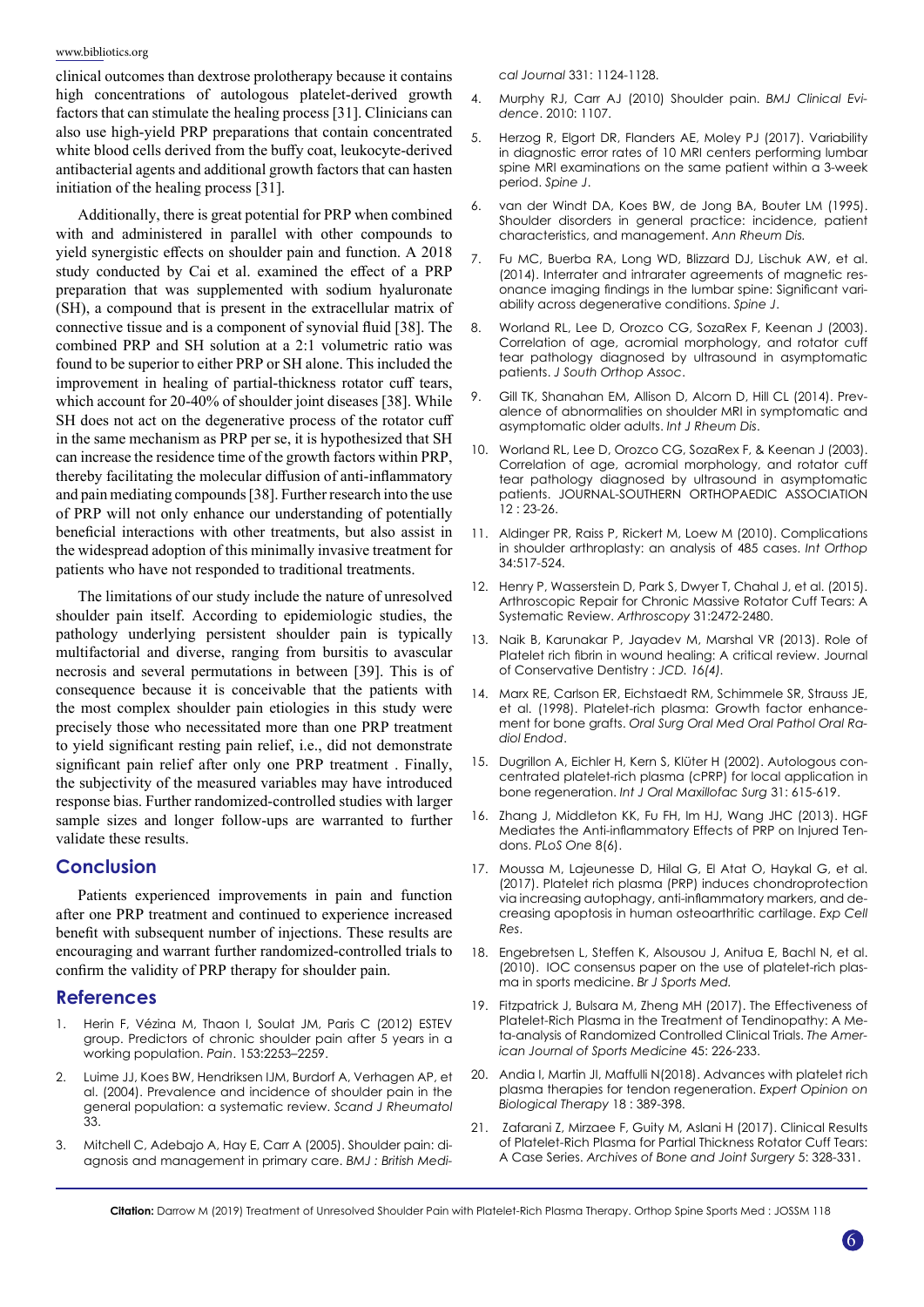clinical outcomes than dextrose prolotherapy because it contains high concentrations of autologous platelet-derived growth factors that can stimulate the healing process [31]. Clinicians can also use high-yield PRP preparations that contain concentrated white blood cells derived from the buffy coat, leukocyte-derived antibacterial agents and additional growth factors that can hasten initiation of the healing process [31].

Additionally, there is great potential for PRP when combined with and administered in parallel with other compounds to yield synergistic effects on shoulder pain and function. A 2018 study conducted by Cai et al. examined the effect of a PRP preparation that was supplemented with sodium hyaluronate (SH), a compound that is present in the extracellular matrix of connective tissue and is a component of synovial fluid [38]. The combined PRP and SH solution at a 2:1 volumetric ratio was found to be superior to either PRP or SH alone. This included the improvement in healing of partial-thickness rotator cuff tears, which account for 20-40% of shoulder joint diseases [38]. While SH does not act on the degenerative process of the rotator cuff in the same mechanism as PRP per se, it is hypothesized that SH can increase the residence time of the growth factors within PRP, thereby facilitating the molecular diffusion of anti-inflammatory and pain mediating compounds [38]. Further research into the use of PRP will not only enhance our understanding of potentially beneficial interactions with other treatments, but also assist in the widespread adoption of this minimally invasive treatment for patients who have not responded to traditional treatments.

The limitations of our study include the nature of unresolved shoulder pain itself. According to epidemiologic studies, the pathology underlying persistent shoulder pain is typically multifactorial and diverse, ranging from bursitis to avascular necrosis and several permutations in between [39]. This is of consequence because it is conceivable that the patients with the most complex shoulder pain etiologies in this study were precisely those who necessitated more than one PRP treatment to yield significant resting pain relief, i.e., did not demonstrate significant pain relief after only one PRP treatment . Finally, the subjectivity of the measured variables may have introduced response bias. Further randomized-controlled studies with larger sample sizes and longer follow-ups are warranted to further validate these results.

# **Conclusion**

Patients experienced improvements in pain and function after one PRP treatment and continued to experience increased benefit with subsequent number of injections. These results are encouraging and warrant further randomized-controlled trials to confirm the validity of PRP therapy for shoulder pain.

# **References**

- Herin F, Vézina M, Thaon I, Soulat JM, Paris C (2012) ESTEV [group. Predictors of chronic shoulder pain after 5 years in a](https://www.ncbi.nlm.nih.gov/pubmed/22940463)  [working population.](https://www.ncbi.nlm.nih.gov/pubmed/22940463) *Pain*. 153:2253–2259.
- 2. [Luime JJ, Koes BW, Hendriksen IJM, Burdorf A, Verhagen AP, et](https://www.ncbi.nlm.nih.gov/pubmed/15163107)  [al. \(2004\). Prevalence and incidence of shoulder pain in the](https://www.ncbi.nlm.nih.gov/pubmed/15163107)  [general population: a systematic review.](https://www.ncbi.nlm.nih.gov/pubmed/15163107) *Scand J Rheumatol* [33.](https://www.ncbi.nlm.nih.gov/pubmed/15163107)
- 3. [Mitchell C, Adebajo A, Hay E, Carr A \(2005\). Shoulder pain: di](https://www.ncbi.nlm.nih.gov/pubmed/16282408)[agnosis and management in primary care.](https://www.ncbi.nlm.nih.gov/pubmed/16282408) *BMJ : British Medi-*

*cal Journal* [331: 1124-1128.](https://www.ncbi.nlm.nih.gov/pubmed/16282408)

- 4. Murphy RJ, Carr AJ (2010) Shoulder pain. *BMJ Clinical Evidence*. 2010: 1107.
- 5. [Herzog R, Elgort DR, Flanders AE, Moley PJ \(2017\). Variability](https://www.ncbi.nlm.nih.gov/pubmed/27867079) [in diagnostic error rates of 10 MRI centers performing lumbar](https://www.ncbi.nlm.nih.gov/pubmed/27867079) [spine MRI examinations on the same patient within a 3-week](https://www.ncbi.nlm.nih.gov/pubmed/27867079) [period.](https://www.ncbi.nlm.nih.gov/pubmed/27867079) *Spine J*.
- [van der Windt DA, Koes BW, de Jong BA, Bouter LM \(1995\).](https://www.ncbi.nlm.nih.gov/pmc/articles/PMC1010060/) [Shoulder disorders in general practice: incidence, patient](https://www.ncbi.nlm.nih.gov/pmc/articles/PMC1010060/) [characteristics, and management.](https://www.ncbi.nlm.nih.gov/pmc/articles/PMC1010060/) *Ann Rheum Dis.*
- 7. [Fu MC, Buerba RA, Long WD, Blizzard DJ, Lischuk AW, et al.](https://www.ncbi.nlm.nih.gov/pubmed/24642053) [\(2014\). Interrater and intrarater agreements of magnetic res](https://www.ncbi.nlm.nih.gov/pubmed/24642053)[onance imaging findings in the lumbar spine: Significant vari](https://www.ncbi.nlm.nih.gov/pubmed/24642053)[ability across degenerative conditions.](https://www.ncbi.nlm.nih.gov/pubmed/24642053) *Spine J*.
- 8. [Worland RL, Lee D, Orozco CG, SozaRex F, Keenan J \(2003\).](https://www.ncbi.nlm.nih.gov/pubmed/12735621) [Correlation of age, acromial morphology, and rotator cuff](https://www.ncbi.nlm.nih.gov/pubmed/12735621) [tear pathology diagnosed by ultrasound in asymptomatic](https://www.ncbi.nlm.nih.gov/pubmed/12735621) patients. *[J South Orthop Assoc](https://www.ncbi.nlm.nih.gov/pubmed/12735621)*.
- 9. [Gill TK, Shanahan EM, Allison D, Alcorn D, Hill CL \(2014\). Prev](https://www.ncbi.nlm.nih.gov/pubmed/25294682)[alence of abnormalities on shoulder MRI in symptomatic and](https://www.ncbi.nlm.nih.gov/pubmed/25294682) [asymptomatic older adults.](https://www.ncbi.nlm.nih.gov/pubmed/25294682) *Int J Rheum Dis*.
- 10. [Worland RL, Lee D, Orozco CG, SozaRex F, & Keenan J \(2003\).](https://www.ncbi.nlm.nih.gov/pubmed/12735621) [Correlation of age, acromial morphology, and rotator cuff](https://www.ncbi.nlm.nih.gov/pubmed/12735621) [tear pathology diagnosed by ultrasound in asymptomatic](https://www.ncbi.nlm.nih.gov/pubmed/12735621) [patients. JOURNAL-SOUTHERN ORTHOPAEDIC ASSOCIATION](https://www.ncbi.nlm.nih.gov/pubmed/12735621) 12 [: 23-26.](https://www.ncbi.nlm.nih.gov/pubmed/12735621)
- 11. [Aldinger PR, Raiss P, Rickert M, Loew M \(2010\). Complications](https://www.ncbi.nlm.nih.gov/pmc/articles/PMC2903129/) [in shoulder arthroplasty: an analysis of 485 cases.](https://www.ncbi.nlm.nih.gov/pmc/articles/PMC2903129/) *Int Orthop* [34:517-524.](https://www.ncbi.nlm.nih.gov/pmc/articles/PMC2903129/)
- 12. [Henry P, Wasserstein D, Park S, Dwyer T, Chahal J, et al. \(2015\).](https://www.ncbi.nlm.nih.gov/pubmed/26364549) [Arthroscopic Repair for Chronic Massive Rotator Cuff Tears: A](https://www.ncbi.nlm.nih.gov/pubmed/26364549) [Systematic Review.](https://www.ncbi.nlm.nih.gov/pubmed/26364549) *Arthroscopy* 31:2472-2480.
- 13. [Naik B, Karunakar P, Jayadev M, Marshal VR \(2013\). Role of](https://www.ncbi.nlm.nih.gov/pmc/articles/PMC3740636/) [Platelet rich fibrin in wound healing: A critical review. Journal](https://www.ncbi.nlm.nih.gov/pmc/articles/PMC3740636/) [of Conservative Dentistry](https://www.ncbi.nlm.nih.gov/pmc/articles/PMC3740636/) : *JCD. 16(4).*
- 14. [Marx RE, Carlson ER, Eichstaedt RM, Schimmele SR, Strauss JE,](https://www.ncbi.nlm.nih.gov/pubmed/9638695) [et al. \(1998\). Platelet-rich plasma: Growth factor enhance](https://www.ncbi.nlm.nih.gov/pubmed/9638695)ment for bone grafts. *[Oral Surg Oral Med Oral Pathol Oral Ra](https://www.ncbi.nlm.nih.gov/pubmed/9638695)[diol Endod](https://www.ncbi.nlm.nih.gov/pubmed/9638695)*.
- 15. [Dugrillon A, Eichler H, Kern S, Klüter H \(2002\). Autologous con](https://www.ncbi.nlm.nih.gov/pubmed/12521317)[centrated platelet-rich plasma \(cPRP\) for local application in](https://www.ncbi.nlm.nih.gov/pubmed/12521317) bone regeneration. *[Int J Oral Maxillofac Surg](https://www.ncbi.nlm.nih.gov/pubmed/12521317)* 31: 615-619.
- 16. [Zhang J, Middleton KK, Fu FH, Im HJ, Wang JHC \(2013\). HGF](https://www.ncbi.nlm.nih.gov/pubmed/23840657) [Mediates the Anti-inflammatory Effects of PRP on Injured Ten](https://www.ncbi.nlm.nih.gov/pubmed/23840657)dons. *[PLoS One](https://www.ncbi.nlm.nih.gov/pubmed/23840657)* 8(6).
- 17. [Moussa M, Lajeunesse D, Hilal G, El Atat O, Haykal G, et al.](https://www.ncbi.nlm.nih.gov/pubmed/28202394) [\(2017\). Platelet rich plasma \(PRP\) induces chondroprotection](https://www.ncbi.nlm.nih.gov/pubmed/28202394) [via increasing autophagy, anti-inflammatory markers, and de](https://www.ncbi.nlm.nih.gov/pubmed/28202394)[creasing apoptosis in human osteoarthritic cartilage.](https://www.ncbi.nlm.nih.gov/pubmed/28202394) *Exp Cell [Res](https://www.ncbi.nlm.nih.gov/pubmed/28202394)*.
- 18. [Engebretsen L, Steffen K, Alsousou J, Anitua E, Bachl N, et al.](https://www.ncbi.nlm.nih.gov/pubmed/21106774) [\(2010\). IOC consensus paper on the use of platelet-rich plas](https://www.ncbi.nlm.nih.gov/pubmed/21106774)[ma in sports medicine.](https://www.ncbi.nlm.nih.gov/pubmed/21106774) *Br J Sports Med.*
- 19. [Fitzpatrick J, Bulsara M, Zheng MH \(2017\). The Effectiveness of](https://www.ncbi.nlm.nih.gov/pubmed/27268111) [Platelet-Rich Plasma in the Treatment of Tendinopathy: A Me](https://www.ncbi.nlm.nih.gov/pubmed/27268111)[ta-analysis of Randomized Controlled Clinical Trials.](https://www.ncbi.nlm.nih.gov/pubmed/27268111) *The Amer[ican Journal of Sports Medicine](https://www.ncbi.nlm.nih.gov/pubmed/27268111)* 45: 226-233.
- 20. [Andia I, Martin JI, Maffulli N\(2018\). Advances with platelet rich](https://www.ncbi.nlm.nih.gov/pubmed/29300106) [plasma therapies for tendon regeneration.](https://www.ncbi.nlm.nih.gov/pubmed/29300106) *Expert Opinion on [Biological Therapy](https://www.ncbi.nlm.nih.gov/pubmed/29300106)* 18 : 389-398.
- 21. [Zafarani Z, Mirzaee F, Guity M, Aslani H \(2017\). Clinical Results](https://www.ncbi.nlm.nih.gov/pubmed/29226205) [of Platelet-Rich Plasma for Partial Thickness Rotator Cuff Tears:](https://www.ncbi.nlm.nih.gov/pubmed/29226205) A Case Series. *[Archives of Bone and Joint Surgery](https://www.ncbi.nlm.nih.gov/pubmed/29226205)* 5: 328-331.